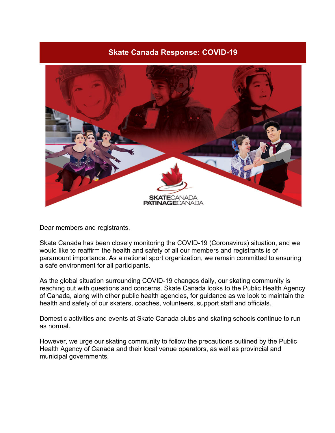## **Skate Canada Response: COVID-19**



Dear members and registrants,

Skate Canada has been closely monitoring the COVID-19 (Coronavirus) situation, and we would like to reaffirm the health and safety of all our members and registrants is of paramount importance. As a national sport organization, we remain committed to ensuring a safe environment for all participants.

As the global situation surrounding COVID-19 changes daily, our skating community is reaching out with questions and concerns. Skate Canada looks to the Public Health Agency of Canada, along with other public health agencies, for guidance as we look to maintain the health and safety of our skaters, coaches, volunteers, support staff and officials.

Domestic activities and events at Skate Canada clubs and skating schools continue to run as normal.

However, we urge our skating community to follow the precautions outlined by the Public Health Agency of Canada and their local venue operators, as well as provincial and municipal governments.